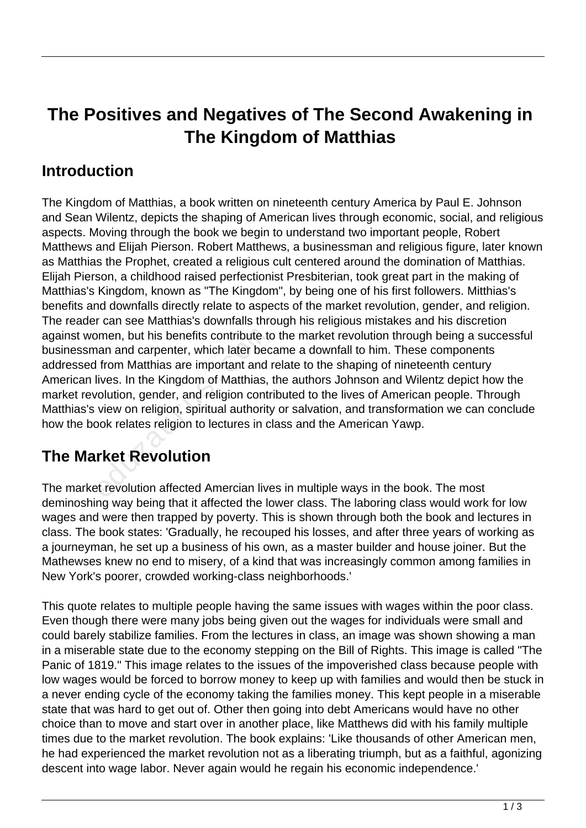# **The Positives and Negatives of The Second Awakening in The Kingdom of Matthias**

#### **Introduction**

The Kingdom of Matthias, a book written on nineteenth century America by Paul E. Johnson and Sean Wilentz, depicts the shaping of American lives through economic, social, and religious aspects. Moving through the book we begin to understand two important people, Robert Matthews and Elijah Pierson. Robert Matthews, a businessman and religious figure, later known as Matthias the Prophet, created a religious cult centered around the domination of Matthias. Elijah Pierson, a childhood raised perfectionist Presbiterian, took great part in the making of Matthias's Kingdom, known as "The Kingdom", by being one of his first followers. Mitthias's benefits and downfalls directly relate to aspects of the market revolution, gender, and religion. The reader can see Matthias's downfalls through his religious mistakes and his discretion against women, but his benefits contribute to the market revolution through being a successful businessman and carpenter, which later became a downfall to him. These components addressed from Matthias are important and relate to the shaping of nineteenth century American lives. In the Kingdom of Matthias, the authors Johnson and Wilentz depict how the market revolution, gender, and religion contributed to the lives of American people. Through Matthias's view on religion, spiritual authority or salvation, and transformation we can conclude how the book relates religion to lectures in class and the American Yawp. men, but his benefits contribute to<br>tan and carpenter, which later bec<br>from Matthias are important and<br>lives. In the Kingdom of Matthias,<br>rolution, gender, and religion contr<br>view on religion, spiritual authority<br>bok relat

### **The Market Revolution**

The market revolution affected Amercian lives in multiple ways in the book. The most deminoshing way being that it affected the lower class. The laboring class would work for low wages and were then trapped by poverty. This is shown through both the book and lectures in class. The book states: 'Gradually, he recouped his losses, and after three years of working as a journeyman, he set up a business of his own, as a master builder and house joiner. But the Mathewses knew no end to misery, of a kind that was increasingly common among families in New York's poorer, crowded working-class neighborhoods.'

This quote relates to multiple people having the same issues with wages within the poor class. Even though there were many jobs being given out the wages for individuals were small and could barely stabilize families. From the lectures in class, an image was shown showing a man in a miserable state due to the economy stepping on the Bill of Rights. This image is called "The Panic of 1819." This image relates to the issues of the impoverished class because people with low wages would be forced to borrow money to keep up with families and would then be stuck in a never ending cycle of the economy taking the families money. This kept people in a miserable state that was hard to get out of. Other then going into debt Americans would have no other choice than to move and start over in another place, like Matthews did with his family multiple times due to the market revolution. The book explains: 'Like thousands of other American men, he had experienced the market revolution not as a liberating triumph, but as a faithful, agonizing descent into wage labor. Never again would he regain his economic independence.'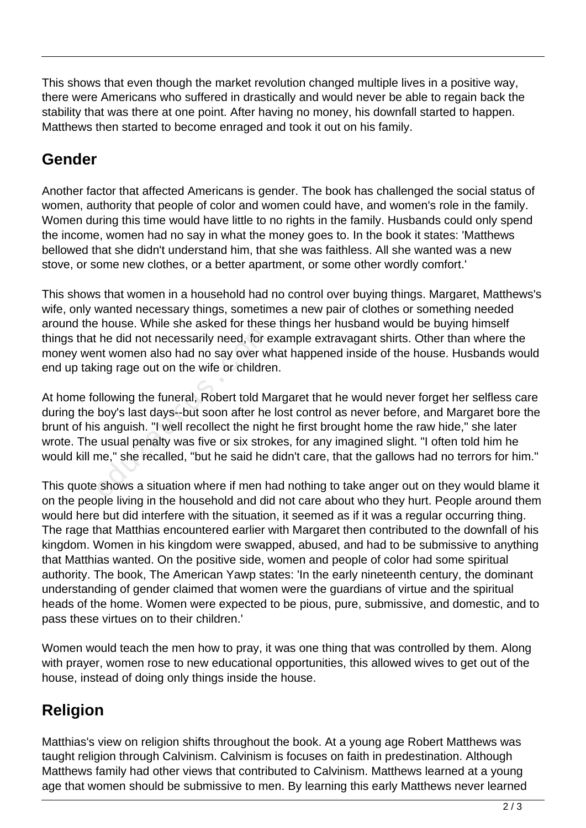This shows that even though the market revolution changed multiple lives in a positive way, there were Americans who suffered in drastically and would never be able to regain back the stability that was there at one point. After having no money, his downfall started to happen. Matthews then started to become enraged and took it out on his family.

## **Gender**

Another factor that affected Americans is gender. The book has challenged the social status of women, authority that people of color and women could have, and women's role in the family. Women during this time would have little to no rights in the family. Husbands could only spend the income, women had no say in what the money goes to. In the book it states: 'Matthews bellowed that she didn't understand him, that she was faithless. All she wanted was a new stove, or some new clothes, or a better apartment, or some other wordly comfort.'

This shows that women in a household had no control over buying things. Margaret, Matthews's wife, only wanted necessary things, sometimes a new pair of clothes or something needed around the house. While she asked for these things her husband would be buying himself things that he did not necessarily need, for example extravagant shirts. Other than where the money went women also had no say over what happened inside of the house. Husbands would end up taking rage out on the wife or children.

At home following the funeral, Robert told Margaret that he would never forget her selfless care during the boy's last days--but soon after he lost control as never before, and Margaret bore the brunt of his anguish. "I well recollect the night he first brought home the raw hide," she later wrote. The usual penalty was five or six strokes, for any imagined slight. "I often told him he would kill me," she recalled, "but he said he didn't care, that the gallows had no terrors for him." he did not necessarily need, for e<br>nt women also had no say over w<br>ing rage out on the wife or childre<br>pllowing the funeral, Robert told M<br>boy's last days--but soon after he<br>s anguish. "I well recollect the night<br>usual pen

This quote shows a situation where if men had nothing to take anger out on they would blame it on the people living in the household and did not care about who they hurt. People around them would here but did interfere with the situation, it seemed as if it was a regular occurring thing. The rage that Matthias encountered earlier with Margaret then contributed to the downfall of his kingdom. Women in his kingdom were swapped, abused, and had to be submissive to anything that Matthias wanted. On the positive side, women and people of color had some spiritual authority. The book, The American Yawp states: 'In the early nineteenth century, the dominant understanding of gender claimed that women were the guardians of virtue and the spiritual heads of the home. Women were expected to be pious, pure, submissive, and domestic, and to pass these virtues on to their children.'

Women would teach the men how to pray, it was one thing that was controlled by them. Along with prayer, women rose to new educational opportunities, this allowed wives to get out of the house, instead of doing only things inside the house.

# **Religion**

Matthias's view on religion shifts throughout the book. At a young age Robert Matthews was taught religion through Calvinism. Calvinism is focuses on faith in predestination. Although Matthews family had other views that contributed to Calvinism. Matthews learned at a young age that women should be submissive to men. By learning this early Matthews never learned